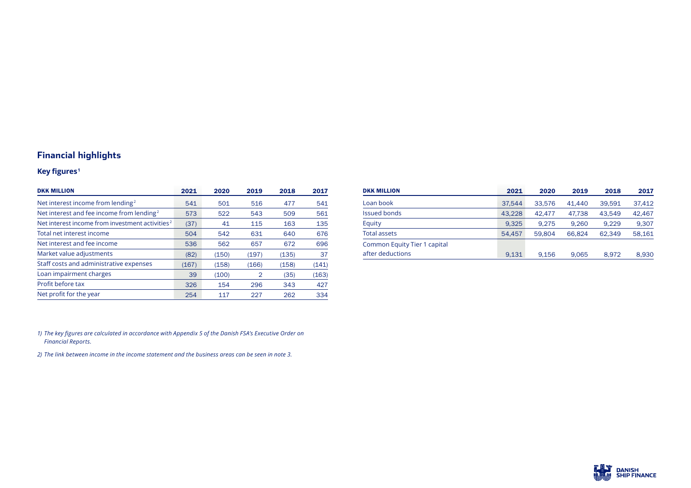## **Financial highlights**

## **Key figures <sup>1</sup>**

| <b>DKK MILLION</b>                                          | 2021  | 2020  | 2019  | 2018  | 2017  |
|-------------------------------------------------------------|-------|-------|-------|-------|-------|
| Net interest income from lending <sup>2</sup>               | 541   | 501   | 516   | 477   | 541   |
| Net interest and fee income from lending <sup>2</sup>       | 573   | 522   | 543   | 509   | 561   |
| Net interest income from investment activities <sup>2</sup> | (37)  | 41    | 115   | 163   | 135   |
| Total net interest income                                   | 504   | 542   | 631   | 640   | 676   |
| Net interest and fee income                                 | 536   | 562   | 657   | 672   | 696   |
| Market value adjustments                                    | (82)  | (150) | (197) | (135) | 37    |
| Staff costs and administrative expenses                     | (167) | (158) | (166) | (158) | (141) |
| Loan impairment charges                                     | 39    | (100) | 2     | (35)  | (163) |
| Profit before tax                                           | 326   | 154   | 296   | 343   | 427   |
| Net profit for the year                                     | 254   | 117   | 227   | 262   | 334   |

| <b>DKK MILLION</b>           | 2021   | 2020   | 2019   | 2018   | 2017   |
|------------------------------|--------|--------|--------|--------|--------|
| Loan book                    | 37,544 | 33,576 | 41.440 | 39.591 | 37,412 |
| <b>Issued bonds</b>          | 43,228 | 42.477 | 47.738 | 43.549 | 42,467 |
| Equity                       | 9.325  | 9.275  | 9.260  | 9.229  | 9,307  |
| <b>Total assets</b>          | 54.457 | 59.804 | 66.824 | 62.349 | 58,161 |
| Common Equity Tier 1 capital |        |        |        |        |        |
| after deductions             | 9,131  | 9.156  | 9,065  | 8.972  | 8,930  |

*1) The key figures are calculated in accordance with Appendix 5 of the Danish FSA's Executive Order on Financial Reports.*

*2) The link between income in the income statement and the business areas can be seen in note 3.*